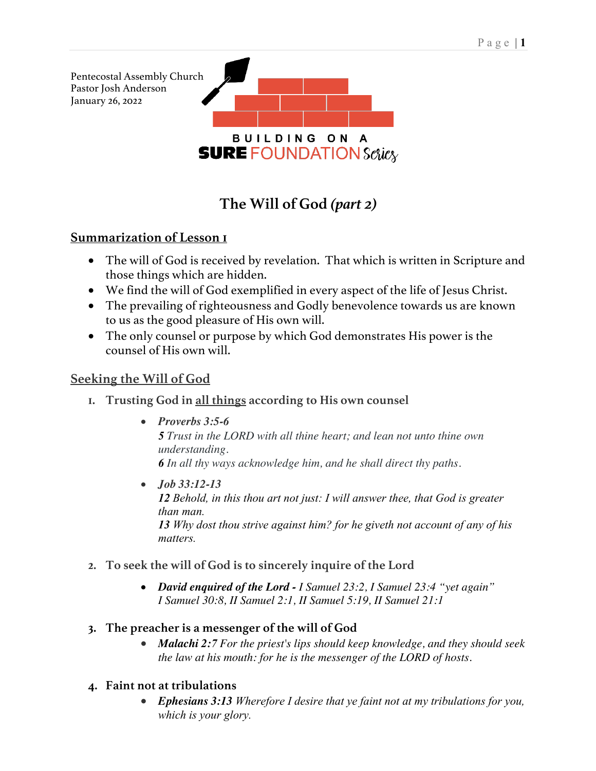

# **The Will of God** *(part 2)*

# **Summarization of Lesson 1**

- The will of God is received by revelation. That which is written in Scripture and those things which are hidden.
- We find the will of God exemplified in every aspect of the life of Jesus Christ.
- The prevailing of righteousness and Godly benevolence towards us are known to us as the good pleasure of His own will.
- The only counsel or purpose by which God demonstrates His power is the counsel of His own will.

# **Seeking the Will of God**

- **1. Trusting God in all things according to His own counsel**
	- *Proverbs 3:5-6*

*5 Trust in the LORD with all thine heart; and lean not unto thine own understanding. 6 In all thy ways acknowledge him, and he shall direct thy paths.*

- *Job 33:12-13 12 Behold, in this thou art not just: I will answer thee, that God is greater than man. 13 Why dost thou strive against him? for he giveth not account of any of his matters.*
- **2. To seek the will of God is to sincerely inquire of the Lord**
	- *David enquired of the Lord - I Samuel 23:2, I Samuel 23:4 "yet again" I Samuel 30:8, II Samuel 2:1, II Samuel 5:19, II Samuel 21:1*

## **3. The preacher is a messenger of the will of God**

- *Malachi 2:7 For the priest's lips should keep knowledge, and they should seek the law at his mouth: for he is the messenger of the LORD of hosts.*
- **4. Faint not at tribulations**
	- *Ephesians 3:13 Wherefore I desire that ye faint not at my tribulations for you, which is your glory.*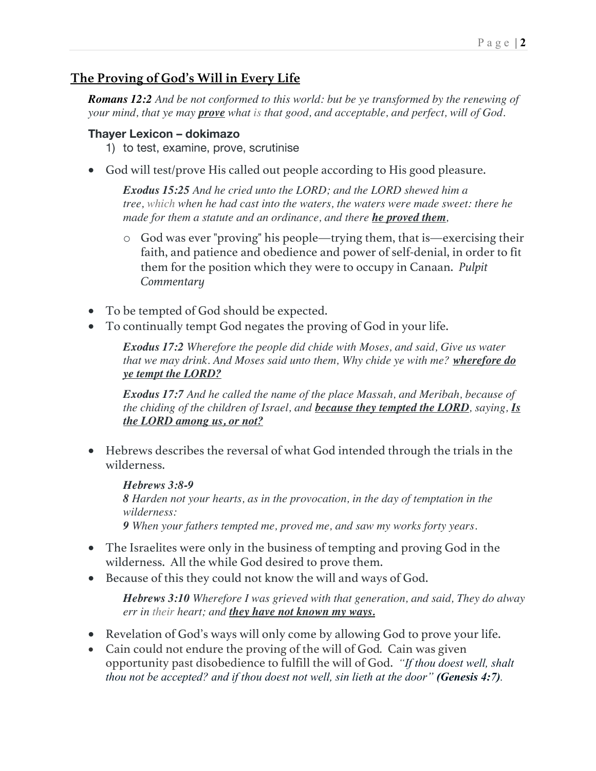#### Page | **2**

# **The Proving of God's Will in Every Life**

*Romans 12:2 And be not conformed to this world: but be ye transformed by the renewing of your mind, that ye may prove what is that good, and acceptable, and perfect, will of God.*

#### **Thayer Lexicon – dokimazo**

- 1) to test, examine, prove, scrutinise
- God will test/prove His called out people according to His good pleasure.

*Exodus 15:25 And he cried unto the LORD; and the LORD shewed him a tree, which when he had cast into the waters, the waters were made sweet: there he made for them a statute and an ordinance, and there he proved them,*

- o God was ever "proving" his people—trying them, that is—exercising their faith, and patience and obedience and power of self-denial, in order to fit them for the position which they were to occupy in Canaan. *Pulpit Commentary*
- To be tempted of God should be expected.
- To continually tempt God negates the proving of God in your life.

*Exodus 17:2 Wherefore the people did chide with Moses, and said, Give us water that we may drink. And Moses said unto them, Why chide ye with me? wherefore do ye tempt the LORD?*

*Exodus 17:7 And he called the name of the place Massah, and Meribah, because of the chiding of the children of Israel, and because they tempted the LORD, saying, Is the LORD among us, or not?*

• Hebrews describes the reversal of what God intended through the trials in the wilderness.

*Hebrews 3:8-9 8 Harden not your hearts, as in the provocation, in the day of temptation in the wilderness: 9 When your fathers tempted me, proved me, and saw my works forty years.*

- The Israelites were only in the business of tempting and proving God in the wilderness. All the while God desired to prove them.
- Because of this they could not know the will and ways of God.

*Hebrews 3:10 Wherefore I was grieved with that generation, and said, They do alway err in their heart; and they have not known my ways.*

- Revelation of God's ways will only come by allowing God to prove your life.
- Cain could not endure the proving of the will of God*.* Cain was given opportunity past disobedience to fulfill the will of God. *"If thou doest well, shalt thou not be accepted? and if thou doest not well, sin lieth at the door" (Genesis 4:7).*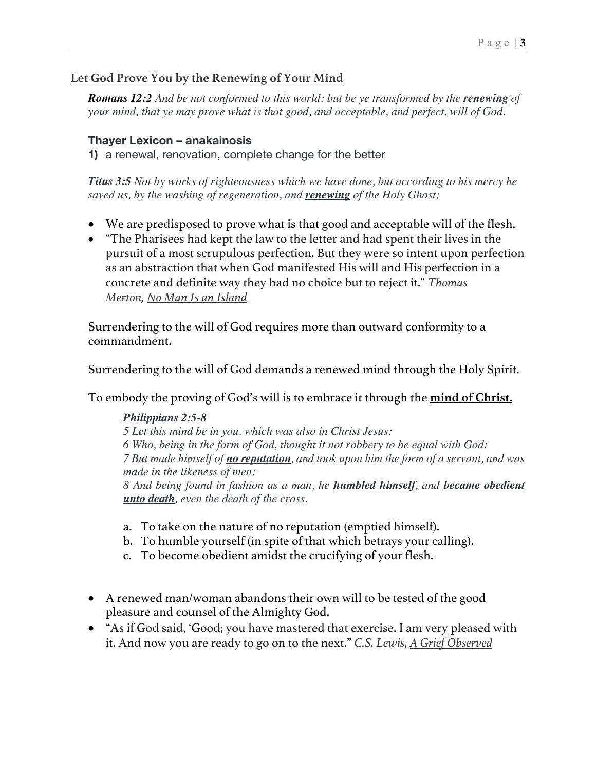## **Let God Prove You by the Renewing of Your Mind**

**Romans 12:2** And be not conformed to this world: but be ye transformed by the **renewing** of *your mind, that ye may prove what is that good, and acceptable, and perfect, will of God.*

#### **Thayer Lexicon – anakainosis**

**1)** a renewal, renovation, complete change for the better

*Titus 3:5 Not by works of righteousness which we have done, but according to his mercy he saved us, by the washing of regeneration, and renewing of the Holy Ghost;*

- We are predisposed to prove what is that good and acceptable will of the flesh.
- "The Pharisees had kept the law to the letter and had spent their lives in the pursuit of a most scrupulous perfection. But they were so intent upon perfection as an abstraction that when God manifested His will and His perfection in a concrete and definite way they had no choice but to reject it." *Thomas Merton, No Man Is an Island*

Surrendering to the will of God requires more than outward conformity to a commandment.

Surrendering to the will of God demands a renewed mind through the Holy Spirit.

To embody the proving of God's will is to embrace it through the **mind of Christ.**

#### *Philippians 2:5-8*

*5 Let this mind be in you, which was also in Christ Jesus: 6 Who, being in the form of God, thought it not robbery to be equal with God: 7 But made himself of no reputation, and took upon him the form of a servant, and was made in the likeness of men: 8 And being found in fashion as a man, he humbled himself, and became obedient unto death, even the death of the cross.*

- a. To take on the nature of no reputation (emptied himself).
- b. To humble yourself (in spite of that which betrays your calling).
- c. To become obedient amidst the crucifying of your flesh.
- A renewed man/woman abandons their own will to be tested of the good pleasure and counsel of the Almighty God.
- "As if God said, 'Good; you have mastered that exercise. I am very pleased with it. And now you are ready to go on to the next." *C.S. Lewis, A Grief Observed*